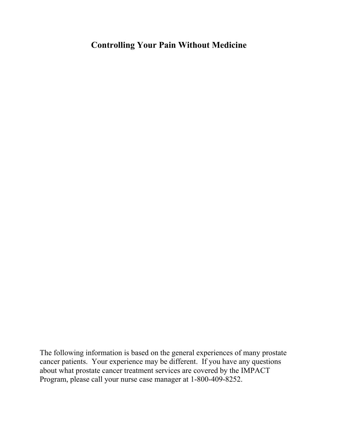# **Controlling Your Pain Without Medicine**

The following information is based on the general experiences of many prostate cancer patients. Your experience may be different. If you have any questions about what prostate cancer treatment services are covered by the IMPACT Program, please call your nurse case manager at 1-800-409-8252.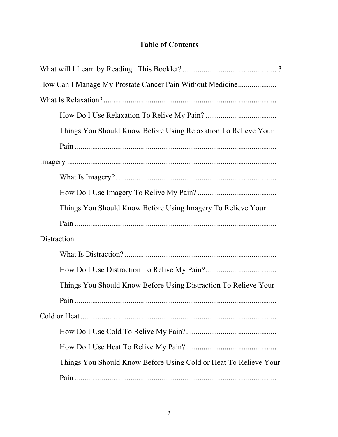## **Table of Contents**

| How Can I Manage My Prostate Cancer Pain Without Medicine        |
|------------------------------------------------------------------|
|                                                                  |
|                                                                  |
| Things You Should Know Before Using Relaxation To Relieve Your   |
|                                                                  |
|                                                                  |
|                                                                  |
|                                                                  |
| Things You Should Know Before Using Imagery To Relieve Your      |
|                                                                  |
| Distraction                                                      |
|                                                                  |
|                                                                  |
| Things You Should Know Before Using Distraction To Relieve Your  |
|                                                                  |
|                                                                  |
|                                                                  |
|                                                                  |
| Things You Should Know Before Using Cold or Heat To Relieve Your |
|                                                                  |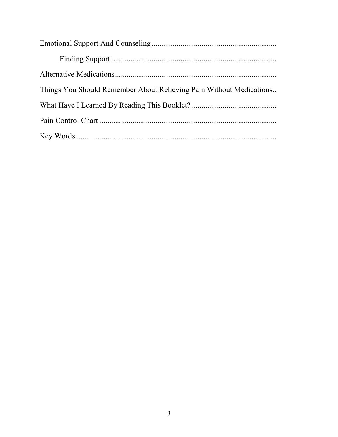| Things You Should Remember About Relieving Pain Without Medications |
|---------------------------------------------------------------------|
|                                                                     |
|                                                                     |
|                                                                     |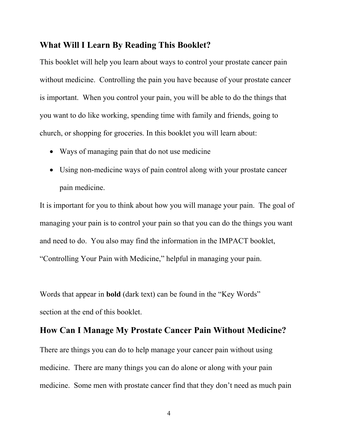#### **What Will I Learn By Reading This Booklet?**

This booklet will help you learn about ways to control your prostate cancer pain without medicine. Controlling the pain you have because of your prostate cancer is important. When you control your pain, you will be able to do the things that you want to do like working, spending time with family and friends, going to church, or shopping for groceries. In this booklet you will learn about:

- Ways of managing pain that do not use medicine
- Using non-medicine ways of pain control along with your prostate cancer pain medicine.

It is important for you to think about how you will manage your pain. The goal of managing your pain is to control your pain so that you can do the things you want and need to do. You also may find the information in the IMPACT booklet, "Controlling Your Pain with Medicine," helpful in managing your pain.

Words that appear in **bold** (dark text) can be found in the "Key Words" section at the end of this booklet.

## **How Can I Manage My Prostate Cancer Pain Without Medicine?**

There are things you can do to help manage your cancer pain without using medicine. There are many things you can do alone or along with your pain medicine. Some men with prostate cancer find that they don't need as much pain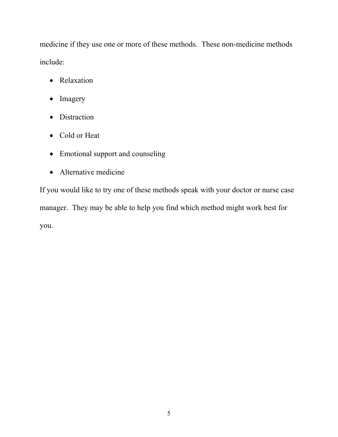medicine if they use one or more of these methods. These non-medicine methods include:

- Relaxation
- Imagery
- Distraction
- Cold or Heat
- Emotional support and counseling
- Alternative medicine

If you would like to try one of these methods speak with your doctor or nurse case manager. They may be able to help you find which method might work best for you.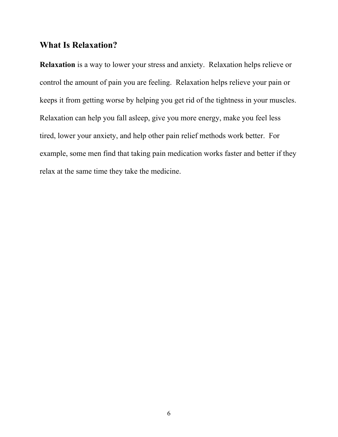#### **What Is Relaxation?**

**Relaxation** is a way to lower your stress and anxiety. Relaxation helps relieve or control the amount of pain you are feeling. Relaxation helps relieve your pain or keeps it from getting worse by helping you get rid of the tightness in your muscles. Relaxation can help you fall asleep, give you more energy, make you feel less tired, lower your anxiety, and help other pain relief methods work better. For example, some men find that taking pain medication works faster and better if they relax at the same time they take the medicine.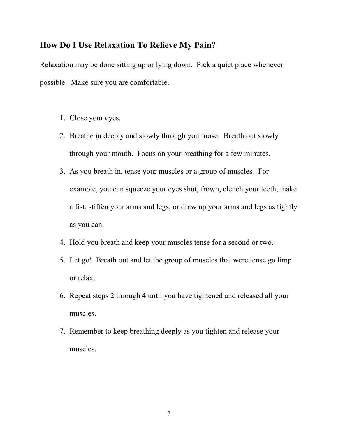#### **How Do I Use Relaxation To Relieve My Pain?**

Relaxation may be done sitting up or lying down. Pick a quiet place whenever possible. Make sure you are comfortable.

- 1. Close your eyes.
- 2. Breathe in deeply and slowly through your nose. Breath out slowly through your mouth. Focus on your breathing for a few minutes.
- 3. As you breath in, tense your muscles or a group of muscles. For example, you can squeeze your eyes shut, frown, clench your teeth, make a fist, stiffen your arms and legs, or draw up your arms and legs as tightly as you can.
- 4. Hold you breath and keep your muscles tense for a second or two.
- 5. Let go! Breath out and let the group of muscles that were tense go limp or relax.
- 6. Repeat steps 2 through 4 until you have tightened and released all your muscles.
- 7. Remember to keep breathing deeply as you tighten and release your muscles.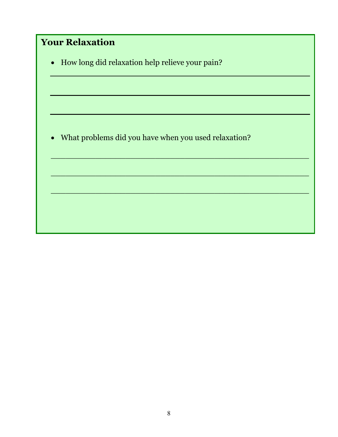| <b>Your Relaxation</b>                                 |
|--------------------------------------------------------|
| • How long did relaxation help relieve your pain?      |
|                                                        |
|                                                        |
|                                                        |
| • What problems did you have when you used relaxation? |
|                                                        |
|                                                        |
|                                                        |
|                                                        |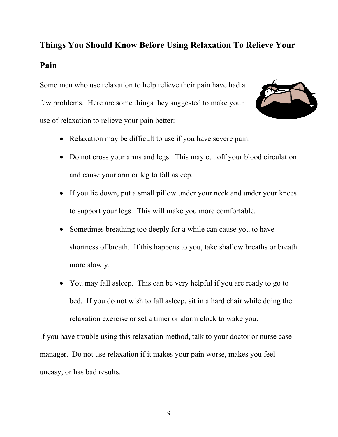# **Things You Should Know Before Using Relaxation To Relieve Your Pain**

Some men who use relaxation to help relieve their pain have had a few problems. Here are some things they suggested to make your use of relaxation to relieve your pain better:



- Relaxation may be difficult to use if you have severe pain.
- Do not cross your arms and legs. This may cut off your blood circulation and cause your arm or leg to fall asleep.
- If you lie down, put a small pillow under your neck and under your knees to support your legs. This will make you more comfortable.
- Sometimes breathing too deeply for a while can cause you to have shortness of breath. If this happens to you, take shallow breaths or breath more slowly.
- You may fall asleep. This can be very helpful if you are ready to go to bed. If you do not wish to fall asleep, sit in a hard chair while doing the relaxation exercise or set a timer or alarm clock to wake you.

If you have trouble using this relaxation method, talk to your doctor or nurse case manager. Do not use relaxation if it makes your pain worse, makes you feel uneasy, or has bad results.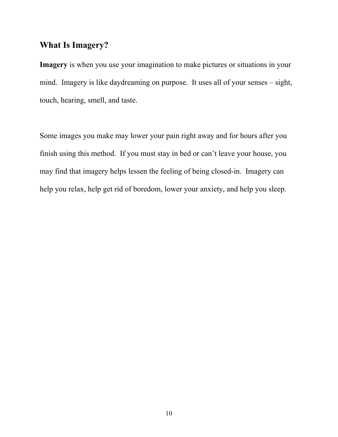## **What Is Imagery?**

**Imagery** is when you use your imagination to make pictures or situations in your mind. Imagery is like daydreaming on purpose. It uses all of your senses – sight, touch, hearing, smell, and taste.

Some images you make may lower your pain right away and for hours after you finish using this method. If you must stay in bed or can't leave your house, you may find that imagery helps lessen the feeling of being closed-in. Imagery can help you relax, help get rid of boredom, lower your anxiety, and help you sleep.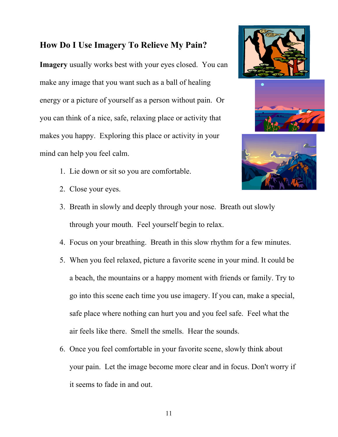### **How Do I Use Imagery To Relieve My Pain?**

**Imagery** usually works best with your eyes closed. You can make any image that you want such as a ball of healing energy or a picture of yourself as a person without pain. Or you can think of a nice, safe, relaxing place or activity that makes you happy. Exploring this place or activity in your mind can help you feel calm.



- 2. Close your eyes.
- 3. Breath in slowly and deeply through your nose. Breath out slowly through your mouth. Feel yourself begin to relax.
- 4. Focus on your breathing. Breath in this slow rhythm for a few minutes.
- 5. When you feel relaxed, picture a favorite scene in your mind. It could be a beach, the mountains or a happy moment with friends or family. Try to go into this scene each time you use imagery. If you can, make a special, safe place where nothing can hurt you and you feel safe. Feel what the air feels like there. Smell the smells. Hear the sounds.
- 6. Once you feel comfortable in your favorite scene, slowly think about your pain. Let the image become more clear and in focus. Don't worry if it seems to fade in and out.





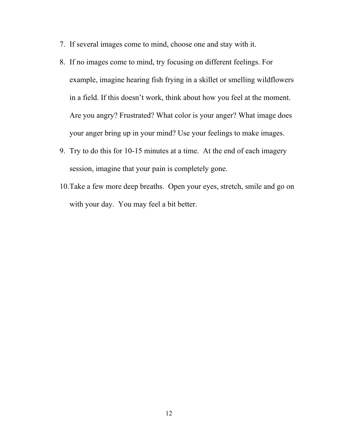- 7. If several images come to mind, choose one and stay with it.
- 8. If no images come to mind, try focusing on different feelings. For example, imagine hearing fish frying in a skillet or smelling wildflowers in a field. If this doesn't work, think about how you feel at the moment. Are you angry? Frustrated? What color is your anger? What image does your anger bring up in your mind? Use your feelings to make images.
- 9. Try to do this for 10-15 minutes at a time. At the end of each imagery session, imagine that your pain is completely gone.
- 10. Take a few more deep breaths. Open your eyes, stretch, smile and go on with your day. You may feel a bit better.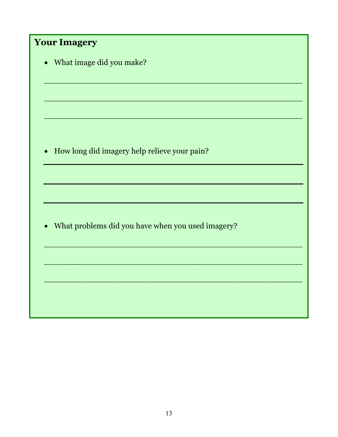| <b>Your Imagery</b>                                            |
|----------------------------------------------------------------|
| What image did you make?<br>$\bullet$                          |
|                                                                |
|                                                                |
|                                                                |
|                                                                |
| How long did imagery help relieve your pain?<br>$\bullet$      |
|                                                                |
|                                                                |
|                                                                |
| What problems did you have when you used imagery?<br>$\bullet$ |
|                                                                |
|                                                                |
|                                                                |
|                                                                |
|                                                                |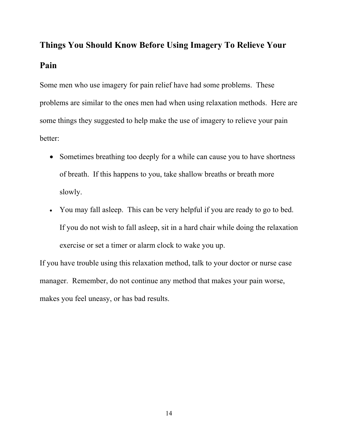# **Things You Should Know Before Using Imagery To Relieve Your Pain**

Some men who use imagery for pain relief have had some problems. These problems are similar to the ones men had when using relaxation methods. Here are some things they suggested to help make the use of imagery to relieve your pain better:

- Sometimes breathing too deeply for a while can cause you to have shortness of breath. If this happens to you, take shallow breaths or breath more slowly.
- You may fall asleep. This can be very helpful if you are ready to go to bed. If you do not wish to fall asleep, sit in a hard chair while doing the relaxation exercise or set a timer or alarm clock to wake you up.

If you have trouble using this relaxation method, talk to your doctor or nurse case manager. Remember, do not continue any method that makes your pain worse, makes you feel uneasy, or has bad results.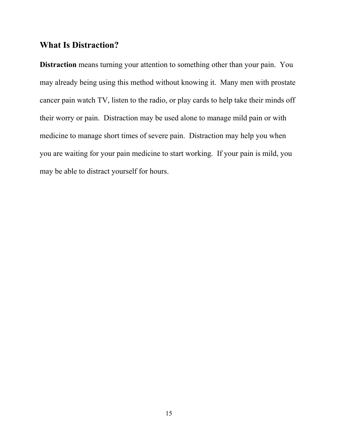#### **What Is Distraction?**

**Distraction** means turning your attention to something other than your pain. You may already being using this method without knowing it. Many men with prostate cancer pain watch TV, listen to the radio, or play cards to help take their minds off their worry or pain. Distraction may be used alone to manage mild pain or with medicine to manage short times of severe pain. Distraction may help you when you are waiting for your pain medicine to start working. If your pain is mild, you may be able to distract yourself for hours.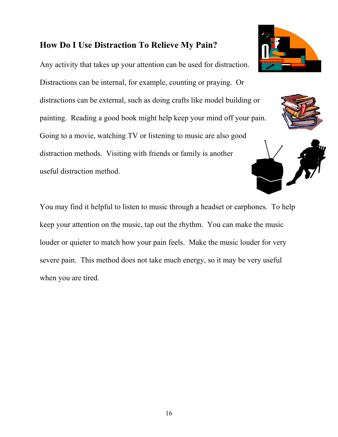### **How Do I Use Distraction To Relieve My Pain?**

Any activity that takes up your attention can be used for distraction. Distractions can be internal, for example, counting or praying. Or distractions can be external, such as doing crafts like model building or painting. Reading a good book might help keep your mind off your pain. Going to a movie, watching TV or listening to music are also good distraction methods. Visiting with friends or family is another useful distraction method.

You may find it helpful to listen to music through a headset or earphones. To help keep your attention on the music, tap out the rhythm. You can make the music louder or quieter to match how your pain feels. Make the music louder for very severe pain. This method does not take much energy, so it may be very useful when you are tired.





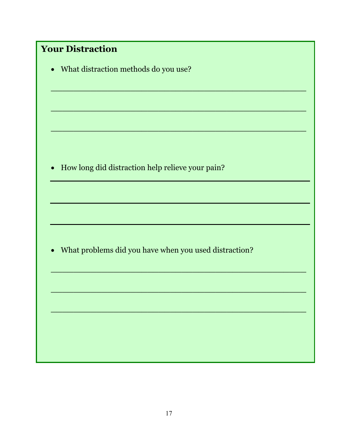| <b>Your Distraction</b>                                            |  |  |  |  |
|--------------------------------------------------------------------|--|--|--|--|
| • What distraction methods do you use?                             |  |  |  |  |
|                                                                    |  |  |  |  |
|                                                                    |  |  |  |  |
|                                                                    |  |  |  |  |
|                                                                    |  |  |  |  |
|                                                                    |  |  |  |  |
| How long did distraction help relieve your pain?<br>$\bullet$      |  |  |  |  |
|                                                                    |  |  |  |  |
|                                                                    |  |  |  |  |
|                                                                    |  |  |  |  |
|                                                                    |  |  |  |  |
| What problems did you have when you used distraction?<br>$\bullet$ |  |  |  |  |
|                                                                    |  |  |  |  |
|                                                                    |  |  |  |  |
|                                                                    |  |  |  |  |
|                                                                    |  |  |  |  |
|                                                                    |  |  |  |  |
|                                                                    |  |  |  |  |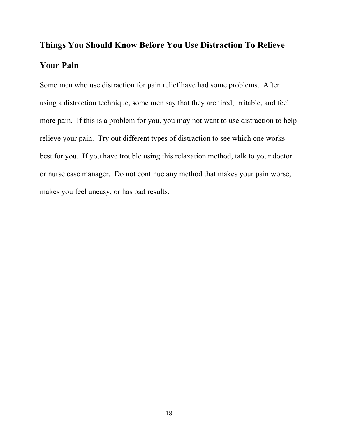# **Things You Should Know Before You Use Distraction To Relieve Your Pain**

Some men who use distraction for pain relief have had some problems. After using a distraction technique, some men say that they are tired, irritable, and feel more pain. If this is a problem for you, you may not want to use distraction to help relieve your pain. Try out different types of distraction to see which one works best for you. If you have trouble using this relaxation method, talk to your doctor or nurse case manager. Do not continue any method that makes your pain worse, makes you feel uneasy, or has bad results.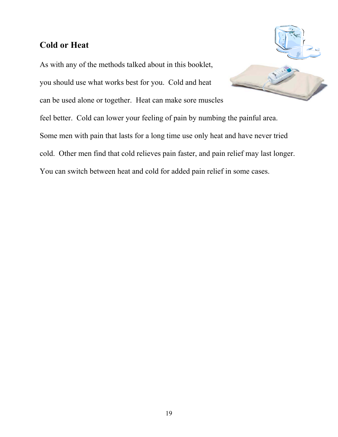## **Cold or Heat**

As with any of the methods talked about in this booklet, you should use what works best for you. Cold and heat can be used alone or together. Heat can make sore muscles feel better. Cold can lower your feeling of pain by numbing the painful area. Some men with pain that lasts for a long time use only heat and have never tried cold. Other men find that cold relieves pain faster, and pain relief may last longer. You can switch between heat and cold for added pain relief in some cases.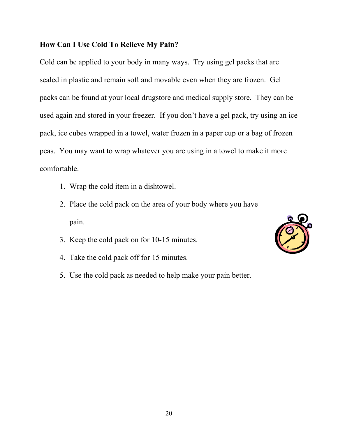#### **How Can I Use Cold To Relieve My Pain?**

Cold can be applied to your body in many ways. Try using gel packs that are sealed in plastic and remain soft and movable even when they are frozen. Gel packs can be found at your local drugstore and medical supply store. They can be used again and stored in your freezer. If you don't have a gel pack, try using an ice pack, ice cubes wrapped in a towel, water frozen in a paper cup or a bag of frozen peas. You may want to wrap whatever you are using in a towel to make it more comfortable.

- 1. Wrap the cold item in a dishtowel.
- 2. Place the cold pack on the area of your body where you have pain.
- 3. Keep the cold pack on for 10-15 minutes.
- 4. Take the cold pack off for 15 minutes.
- 5. Use the cold pack as needed to help make your pain better.

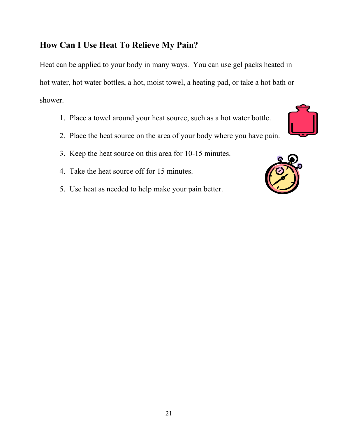## **How Can I Use Heat To Relieve My Pain?**

Heat can be applied to your body in many ways. You can use gel packs heated in hot water, hot water bottles, a hot, moist towel, a heating pad, or take a hot bath or shower.

- 1. Place a towel around your heat source, such as a hot water bottle.
- 2. Place the heat source on the area of your body where you have pain.
- 3. Keep the heat source on this area for 10-15 minutes.
- 4. Take the heat source off for 15 minutes.
- 5. Use heat as needed to help make your pain better.

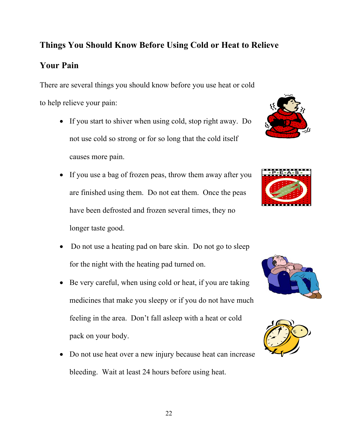# 22

# **Things You Should Know Before Using Cold or Heat to Relieve**

There are several things you should know before you use heat or cold to help relieve your pain:

**Your Pain** 

- If you start to shiver when using cold, stop right away. Do not use cold so strong or for so long that the cold itself causes more pain.
- If you use a bag of frozen peas, throw them away after you are finished using them. Do not eat them. Once the peas have been defrosted and frozen several times, they no longer taste good.
- Do not use a heating pad on bare skin. Do not go to sleep for the night with the heating pad turned on.
- Be very careful, when using cold or heat, if you are taking medicines that make you sleepy or if you do not have much feeling in the area. Don't fall asleep with a heat or cold pack on your body.
- Do not use heat over a new injury because heat can increase bleeding. Wait at least 24 hours before using heat.







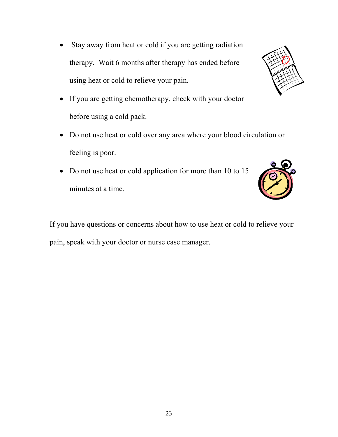- Stay away from heat or cold if you are getting radiation therapy. Wait 6 months after therapy has ended before using heat or cold to relieve your pain.
- If you are getting chemotherapy, check with your doctor before using a cold pack.
- Do not use heat or cold over any area where your blood circulation or feeling is poor.
- Do not use heat or cold application for more than 10 to 15 minutes at a time.

If you have questions or concerns about how to use heat or cold to relieve your pain, speak with your doctor or nurse case manager.





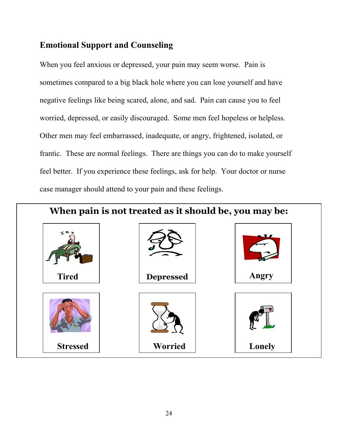# **Emotional Support and Counseling**

When you feel anxious or depressed, your pain may seem worse. Pain is sometimes compared to a big black hole where you can lose yourself and have negative feelings like being scared, alone, and sad. Pain can cause you to feel worried, depressed, or easily discouraged. Some men feel hopeless or helpless. Other men may feel embarrassed, inadequate, or angry, frightened, isolated, or frantic. These are normal feelings. There are things you can do to make yourself feel better. If you experience these feelings, ask for help. Your doctor or nurse case manager should attend to your pain and these feelings.

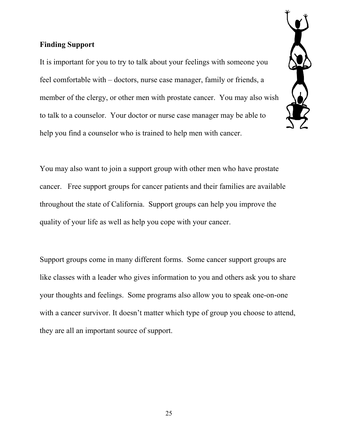#### **Finding Support**

It is important for you to try to talk about your feelings with someone you feel comfortable with – doctors, nurse case manager, family or friends, a member of the clergy, or other men with prostate cancer. You may also wish to talk to a counselor. Your doctor or nurse case manager may be able to help you find a counselor who is trained to help men with cancer.



You may also want to join a support group with other men who have prostate cancer. Free support groups for cancer patients and their families are available throughout the state of California. Support groups can help you improve the quality of your life as well as help you cope with your cancer.

Support groups come in many different forms. Some cancer support groups are like classes with a leader who gives information to you and others ask you to share your thoughts and feelings. Some programs also allow you to speak one-on-one with a cancer survivor. It doesn't matter which type of group you choose to attend, they are all an important source of support.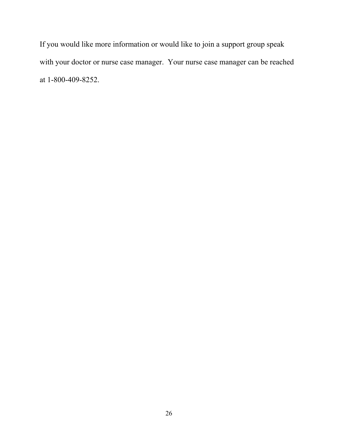If you would like more information or would like to join a support group speak with your doctor or nurse case manager. Your nurse case manager can be reached at 1-800-409-8252.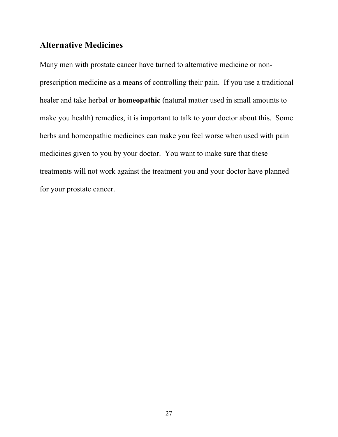#### **Alternative Medicines**

Many men with prostate cancer have turned to alternative medicine or nonprescription medicine as a means of controlling their pain. If you use a traditional healer and take herbal or **homeopathic** (natural matter used in small amounts to make you health) remedies, it is important to talk to your doctor about this. Some herbs and homeopathic medicines can make you feel worse when used with pain medicines given to you by your doctor. You want to make sure that these treatments will not work against the treatment you and your doctor have planned for your prostate cancer.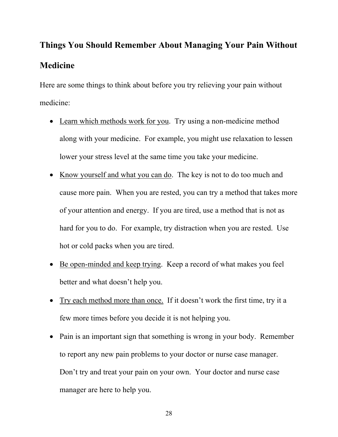# **Things You Should Remember About Managing Your Pain Without Medicine**

Here are some things to think about before you try relieving your pain without medicine:

- Learn which methods work for you. Try using a non-medicine method along with your medicine. For example, you might use relaxation to lessen lower your stress level at the same time you take your medicine.
- Know yourself and what you can do. The key is not to do too much and cause more pain. When you are rested, you can try a method that takes more of your attention and energy. If you are tired, use a method that is not as hard for you to do. For example, try distraction when you are rested. Use hot or cold packs when you are tired.
- Be open-minded and keep trying. Keep a record of what makes you feel better and what doesn't help you.
- Try each method more than once. If it doesn't work the first time, try it a few more times before you decide it is not helping you.
- Pain is an important sign that something is wrong in your body. Remember to report any new pain problems to your doctor or nurse case manager. Don't try and treat your pain on your own. Your doctor and nurse case manager are here to help you.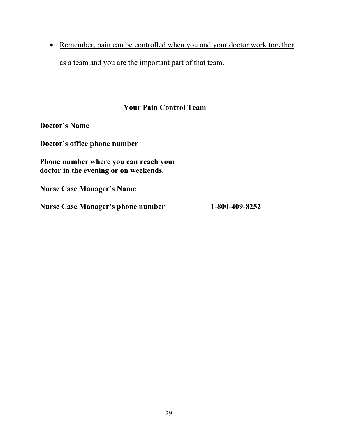• Remember, pain can be controlled when you and your doctor work together as a team and you are the important part of that team.

| <b>Your Pain Control Team</b>                                                  |                |  |  |  |  |  |  |
|--------------------------------------------------------------------------------|----------------|--|--|--|--|--|--|
| Doctor's Name                                                                  |                |  |  |  |  |  |  |
| Doctor's office phone number                                                   |                |  |  |  |  |  |  |
| Phone number where you can reach your<br>doctor in the evening or on weekends. |                |  |  |  |  |  |  |
| <b>Nurse Case Manager's Name</b>                                               |                |  |  |  |  |  |  |
| <b>Nurse Case Manager's phone number</b>                                       | 1-800-409-8252 |  |  |  |  |  |  |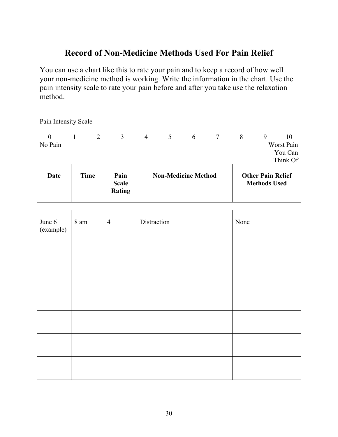# **Record of Non-Medicine Methods Used For Pain Relief**

You can use a chart like this to rate your pain and to keep a record of how well your non-medicine method is working. Write the information in the chart. Use the pain intensity scale to rate your pain before and after you take use the relaxation method.

| Pain Intensity Scale |                                  |                                       |                            |                |   |                |                                                 |   |            |  |
|----------------------|----------------------------------|---------------------------------------|----------------------------|----------------|---|----------------|-------------------------------------------------|---|------------|--|
| $\boldsymbol{0}$     | $\overline{1}$<br>$\overline{2}$ | $\overline{\mathbf{3}}$               | $\overline{4}$             | $\overline{5}$ | 6 | $\overline{7}$ | $\overline{8}$                                  | 9 | 10         |  |
| No Pain              |                                  |                                       |                            |                |   |                |                                                 |   | Worst Pain |  |
|                      |                                  |                                       |                            |                |   |                |                                                 |   | You Can    |  |
|                      |                                  |                                       |                            |                |   |                |                                                 |   | Think Of   |  |
| <b>Date</b>          | <b>Time</b>                      | Pain<br><b>Scale</b><br><b>Rating</b> | <b>Non-Medicine Method</b> |                |   |                | <b>Other Pain Relief</b><br><b>Methods Used</b> |   |            |  |
|                      |                                  |                                       |                            |                |   |                |                                                 |   |            |  |
| June 6<br>(example)  | 8 am                             | $\overline{4}$                        | Distraction                |                |   |                | None                                            |   |            |  |
|                      |                                  |                                       |                            |                |   |                |                                                 |   |            |  |
|                      |                                  |                                       |                            |                |   |                |                                                 |   |            |  |
|                      |                                  |                                       |                            |                |   |                |                                                 |   |            |  |
|                      |                                  |                                       |                            |                |   |                |                                                 |   |            |  |
|                      |                                  |                                       |                            |                |   |                |                                                 |   |            |  |
|                      |                                  |                                       |                            |                |   |                |                                                 |   |            |  |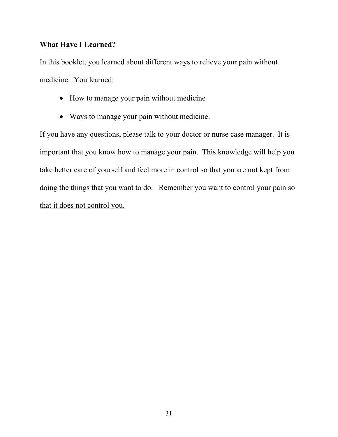#### **What Have I Learned?**

In this booklet, you learned about different ways to relieve your pain without medicine. You learned:

- How to manage your pain without medicine
- Ways to manage your pain without medicine.

If you have any questions, please talk to your doctor or nurse case manager. It is important that you know how to manage your pain. This knowledge will help you take better care of yourself and feel more in control so that you are not kept from doing the things that you want to do. Remember you want to control your pain so that it does not control you.